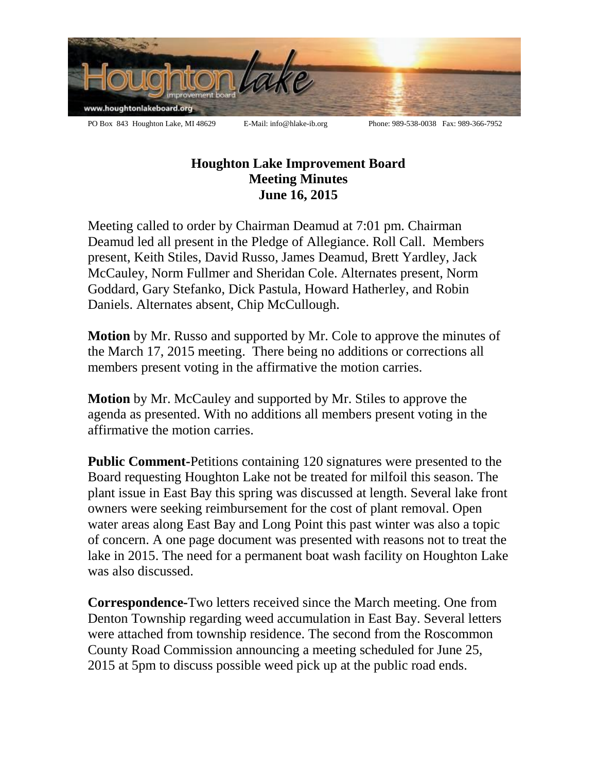

## **Houghton Lake Improvement Board Meeting Minutes June 16, 2015**

Meeting called to order by Chairman Deamud at 7:01 pm. Chairman Deamud led all present in the Pledge of Allegiance. Roll Call. Members present, Keith Stiles, David Russo, James Deamud, Brett Yardley, Jack McCauley, Norm Fullmer and Sheridan Cole. Alternates present, Norm Goddard, Gary Stefanko, Dick Pastula, Howard Hatherley, and Robin Daniels. Alternates absent, Chip McCullough.

**Motion** by Mr. Russo and supported by Mr. Cole to approve the minutes of the March 17, 2015 meeting. There being no additions or corrections all members present voting in the affirmative the motion carries.

**Motion** by Mr. McCauley and supported by Mr. Stiles to approve the agenda as presented. With no additions all members present voting in the affirmative the motion carries.

**Public Comment-**Petitions containing 120 signatures were presented to the Board requesting Houghton Lake not be treated for milfoil this season. The plant issue in East Bay this spring was discussed at length. Several lake front owners were seeking reimbursement for the cost of plant removal. Open water areas along East Bay and Long Point this past winter was also a topic of concern. A one page document was presented with reasons not to treat the lake in 2015. The need for a permanent boat wash facility on Houghton Lake was also discussed.

**Correspondence-**Two letters received since the March meeting. One from Denton Township regarding weed accumulation in East Bay. Several letters were attached from township residence. The second from the Roscommon County Road Commission announcing a meeting scheduled for June 25, 2015 at 5pm to discuss possible weed pick up at the public road ends.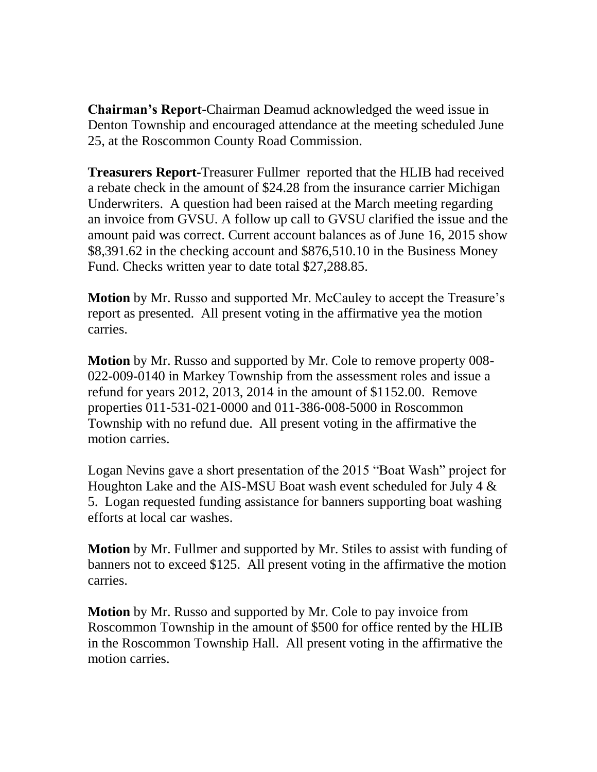**Chairman's Report-**Chairman Deamud acknowledged the weed issue in Denton Township and encouraged attendance at the meeting scheduled June 25, at the Roscommon County Road Commission.

**Treasurers Report-**Treasurer Fullmer reported that the HLIB had received a rebate check in the amount of \$24.28 from the insurance carrier Michigan Underwriters. A question had been raised at the March meeting regarding an invoice from GVSU. A follow up call to GVSU clarified the issue and the amount paid was correct. Current account balances as of June 16, 2015 show \$8,391.62 in the checking account and \$876,510.10 in the Business Money Fund. Checks written year to date total \$27,288.85.

**Motion** by Mr. Russo and supported Mr. McCauley to accept the Treasure's report as presented. All present voting in the affirmative yea the motion carries.

**Motion** by Mr. Russo and supported by Mr. Cole to remove property 008- 022-009-0140 in Markey Township from the assessment roles and issue a refund for years 2012, 2013, 2014 in the amount of \$1152.00. Remove properties 011-531-021-0000 and 011-386-008-5000 in Roscommon Township with no refund due. All present voting in the affirmative the motion carries.

Logan Nevins gave a short presentation of the 2015 "Boat Wash" project for Houghton Lake and the AIS-MSU Boat wash event scheduled for July  $4 \&$ 5. Logan requested funding assistance for banners supporting boat washing efforts at local car washes.

**Motion** by Mr. Fullmer and supported by Mr. Stiles to assist with funding of banners not to exceed \$125. All present voting in the affirmative the motion carries.

**Motion** by Mr. Russo and supported by Mr. Cole to pay invoice from Roscommon Township in the amount of \$500 for office rented by the HLIB in the Roscommon Township Hall. All present voting in the affirmative the motion carries.